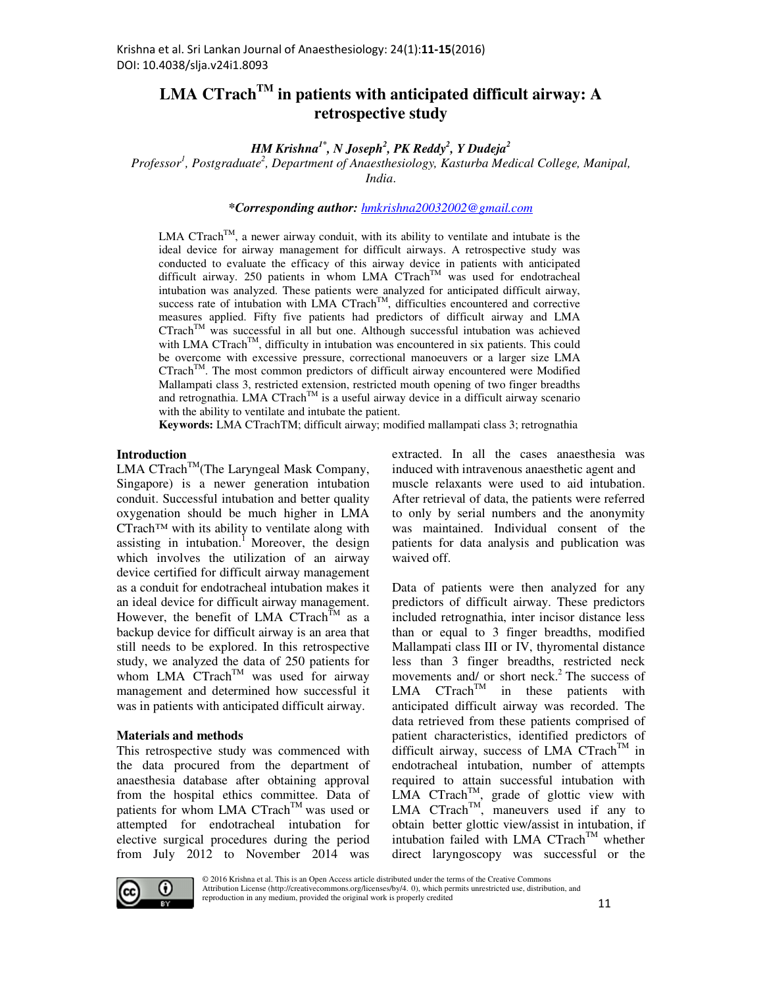# **LMA CTrach**<sup> $TM$ </sup> in patients with anticipated difficult airway: A **retrospective study**

*HM Krishna1\*, N Joseph<sup>2</sup> , PK Reddy<sup>2</sup> , Y Dudeja<sup>2</sup>*

*Professor<sup>1</sup> , Postgraduate<sup>2</sup> , Department of Anaesthesiology, Kasturba Medical College, Manipal, India*.

*\*Corresponding author: hmkrishna20032002@gmail.com*

LMA CTrach<sup>TM</sup>, a newer airway conduit, with its ability to ventilate and intubate is the ideal device for airway management for difficult airways. A retrospective study was conducted to evaluate the efficacy of this airway device in patients with anticipated difficult airway. 250 patients in whom LMA  $CTrach<sup>TM</sup>$  was used for endotracheal intubation was analyzed. These patients were analyzed for anticipated difficult airway, success rate of intubation with LMA  $CTrach<sup>TM</sup>$ , difficulties encountered and corrective measures applied. Fifty five patients had predictors of difficult airway and LMA  $C$ Trach<sup>TM</sup> was successful in all but one. Although successful intubation was achieved with LMA CTrach<sup>TM</sup>, difficulty in intubation was encountered in six patients. This could be overcome with excessive pressure, correctional manoeuvers or a larger size LMA CTrachTM. The most common predictors of difficult airway encountered were Modified Mallampati class 3, restricted extension, restricted mouth opening of two finger breadths and retrognathia. LMA  $CTrach^{TM}$  is a useful airway device in a difficult airway scenario with the ability to ventilate and intubate the patient.

**Keywords:** LMA CTrachTM; difficult airway; modified mallampati class 3; retrognathia

### **Introduction**

LMA  $CTrach^{TM}$ (The Laryngeal Mask Company, Singapore) is a newer generation intubation conduit. Successful intubation and better quality oxygenation should be much higher in LMA CTrach™ with its ability to ventilate along with assisting in intubation.<sup>1</sup> Moreover, the design which involves the utilization of an airway device certified for difficult airway management as a conduit for endotracheal intubation makes it an ideal device for difficult airway management. However, the benefit of LMA CTrach<sup>TM</sup> as a backup device for difficult airway is an area that still needs to be explored. In this retrospective study, we analyzed the data of 250 patients for whom LMA  $CTrach^{TM}$  was used for airway management and determined how successful it was in patients with anticipated difficult airway.

#### **Materials and methods**

This retrospective study was commenced with the data procured from the department of anaesthesia database after obtaining approval from the hospital ethics committee. Data of patients for whom LMA CTrach<sup>TM</sup> was used or attempted for endotracheal intubation for elective surgical procedures during the period from July 2012 to November 2014 was extracted. In all the cases anaesthesia was induced with intravenous anaesthetic agent and muscle relaxants were used to aid intubation. After retrieval of data, the patients were referred to only by serial numbers and the anonymity was maintained. Individual consent of the patients for data analysis and publication was waived off.

Data of patients were then analyzed for any predictors of difficult airway. These predictors included retrognathia, inter incisor distance less than or equal to 3 finger breadths, modified Mallampati class III or IV, thyromental distance less than 3 finger breadths, restricted neck movements and/ or short neck.<sup>2</sup> The success of  $LMA$   $CTrach<sup>TM</sup>$  in these patients with anticipated difficult airway was recorded. The data retrieved from these patients comprised of patient characteristics, identified predictors of difficult airway, success of LMA  $CTrach^{TM}$  in endotracheal intubation, number of attempts required to attain successful intubation with LMA CTrach<sup>TM</sup>, grade of glottic view with LMA CTrach<sup>TM</sup>, maneuvers used if any to obtain better glottic view/assist in intubation, if intubation failed with LMA CTrach<sup>TM</sup> whether direct laryngoscopy was successful or the

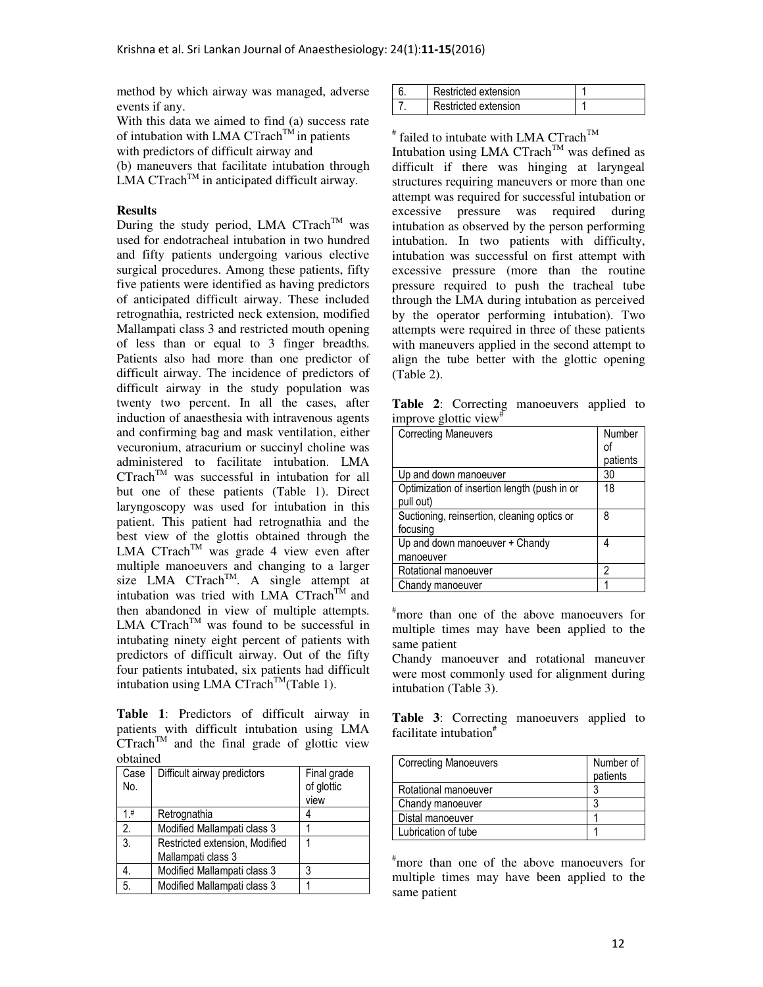method by which airway was managed, adverse events if any.

With this data we aimed to find (a) success rate of intubation with LMA CTrach<sup>TM</sup> in patients with predictors of difficult airway and (b) maneuvers that facilitate intubation through  $LMA CTrach<sup>TM</sup>$  in anticipated difficult airway.

#### **Results**

During the study period, LMA  $CTrach^{TM}$  was used for endotracheal intubation in two hundred and fifty patients undergoing various elective surgical procedures. Among these patients, fifty five patients were identified as having predictors of anticipated difficult airway. These included retrognathia, restricted neck extension, modified Mallampati class 3 and restricted mouth opening of less than or equal to 3 finger breadths. Patients also had more than one predictor of difficult airway. The incidence of predictors of difficult airway in the study population was twenty two percent. In all the cases, after induction of anaesthesia with intravenous agents and confirming bag and mask ventilation, either vecuronium, atracurium or succinyl choline was administered to facilitate intubation. LMA  $CTrach^{TM}$  was successful in intubation for all but one of these patients (Table 1). Direct laryngoscopy was used for intubation in this patient. This patient had retrognathia and the best view of the glottis obtained through the LMA CTrach<sup>TM</sup> was grade 4 view even after multiple manoeuvers and changing to a larger size  $LMA$  CTrach<sup>TM</sup>. A single attempt at intubation was tried with LMA  $CTrach^{T\hat{M}}$  and then abandoned in view of multiple attempts. LMA  $CTrach^{TM}$  was found to be successful in intubating ninety eight percent of patients with predictors of difficult airway. Out of the fifty four patients intubated, six patients had difficult intubation using LMA CTrach<sup>TM</sup>(Table 1).

**Table 1**: Predictors of difficult airway in patients with difficult intubation using LMA  $CTrach^{TM}$  and the final grade of glottic view obtained

| Case<br>No. | Difficult airway predictors                          | Final grade<br>of glottic<br>view |
|-------------|------------------------------------------------------|-----------------------------------|
| 1 #         | Retrognathia                                         |                                   |
| 2.          | Modified Mallampati class 3                          |                                   |
| 3.          | Restricted extension, Modified<br>Mallampati class 3 |                                   |
|             | Modified Mallampati class 3                          | 3                                 |
| 5.          | Modified Mallampati class 3                          |                                   |

| Restricted extension |  |
|----------------------|--|
| Restricted extension |  |

 $*$  failed to intubate with LMA CTrach<sup>TM</sup>

Intubation using LMA  $CTrach^{TM}$  was defined as difficult if there was hinging at laryngeal structures requiring maneuvers or more than one attempt was required for successful intubation or excessive pressure was required during intubation as observed by the person performing intubation. In two patients with difficulty, intubation was successful on first attempt with excessive pressure (more than the routine pressure required to push the tracheal tube through the LMA during intubation as perceived by the operator performing intubation). Two attempts were required in three of these patients with maneuvers applied in the second attempt to align the tube better with the glottic opening (Table 2).

**Table 2**: Correcting manoeuvers applied to improve glottic view<sup>#</sup>

| <b>Correcting Maneuvers</b>                  | Number   |
|----------------------------------------------|----------|
|                                              | оi       |
|                                              | patients |
| Up and down manoeuver                        | 30       |
| Optimization of insertion length (push in or | 18       |
| pull out)                                    |          |
| Suctioning, reinsertion, cleaning optics or  | 8        |
| focusing                                     |          |
| Up and down manoeuver + Chandy               | 4        |
| manoeuver                                    |          |
| Rotational manoeuver                         | 2        |
| Chandy manoeuver                             |          |

#more than one of the above manoeuvers for multiple times may have been applied to the same patient

Chandy manoeuver and rotational maneuver were most commonly used for alignment during intubation (Table 3).

**Table 3**: Correcting manoeuvers applied to facilitate intubation<sup>#</sup>

| <b>Correcting Manoeuvers</b> | Number of<br>patients |
|------------------------------|-----------------------|
| Rotational manoeuver         |                       |
| Chandy manoeuver             |                       |
| Distal manoeuver             |                       |
| Lubrication of tube          |                       |

#more than one of the above manoeuvers for multiple times may have been applied to the same patient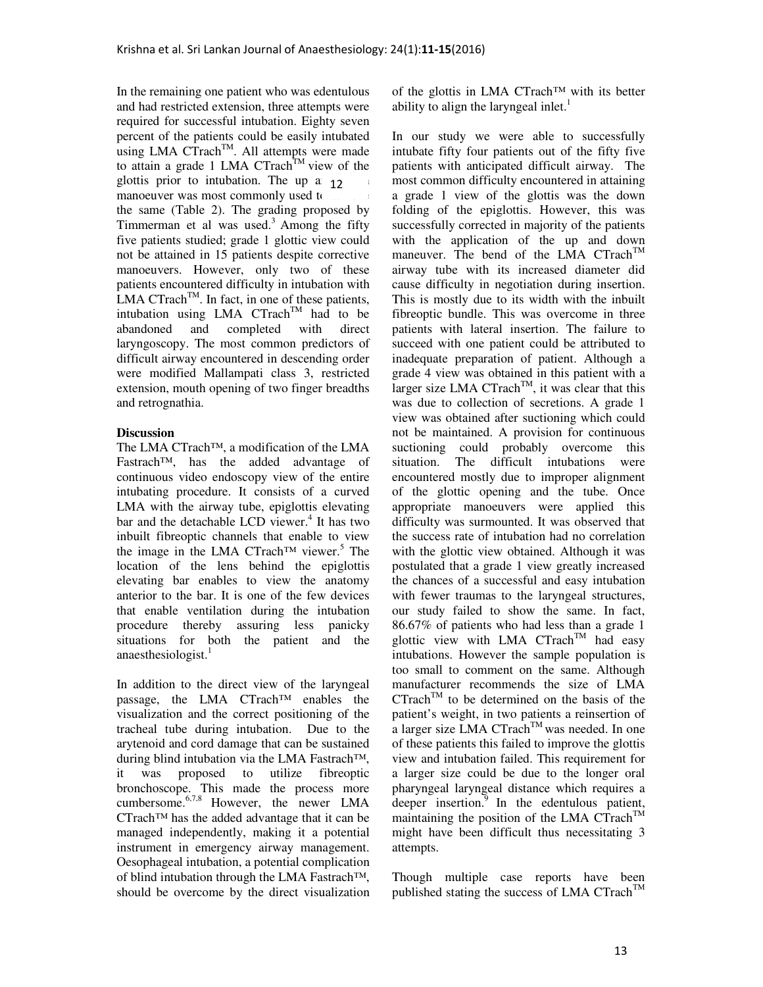In the remaining one patient who was edentulous and had restricted extension, three attempts were required for successful intubation. Eighty seven percent of the patients could be easily intubated using LMA  $CTrach^{TM}$ . All attempts were made to attain a grade 1 LMA CTrach<sup>TM</sup> view of the glottis prior to intubation. The up a  $12$ manoeuver was most commonly used to the same (Table 2). The grading proposed by Timmerman et al was used.<sup>3</sup> Among the fifty five patients studied; grade 1 glottic view could not be attained in 15 patients despite corrective manoeuvers. However, only two of these patients encountered difficulty in intubation with LMA  $CTrach^{TM}$ . In fact, in one of these patients, intubation using LMA  $CTrach^{TM}$  had to be abandoned and completed with direct laryngoscopy. The most common predictors of difficult airway encountered in descending order were modified Mallampati class 3, restricted extension, mouth opening of two finger breadths and retrognathia.

## **Discussion**

The LMA CTrach™, a modification of the LMA Fastrach™, has the added advantage of continuous video endoscopy view of the entire intubating procedure. It consists of a curved LMA with the airway tube, epiglottis elevating bar and the detachable LCD viewer.<sup>4</sup> It has two inbuilt fibreoptic channels that enable to view the image in the LMA CTrach™ viewer.<sup>5</sup> The location of the lens behind the epiglottis elevating bar enables to view the anatomy anterior to the bar. It is one of the few devices that enable ventilation during the intubation procedure thereby assuring less panicky situations for both the patient and the anaesthesiologist.

In addition to the direct view of the laryngeal passage, the LMA CTrach™ enables the visualization and the correct positioning of the tracheal tube during intubation. Due to the arytenoid and cord damage that can be sustained during blind intubation via the LMA Fastrach™, it was proposed to utilize fibreoptic bronchoscope. This made the process more cumbersome.<sup>6,7,8</sup> However, the newer LMA CTrach™ has the added advantage that it can be managed independently, making it a potential instrument in emergency airway management. Oesophageal intubation, a potential complication of blind intubation through the LMA Fastrach™, should be overcome by the direct visualization of the glottis in LMA CTrach™ with its better ability to align the laryngeal inlet. $<sup>1</sup>$ </sup>

In our study we were able to successfully intubate fifty four patients out of the fifty five patients with anticipated difficult airway. The most common difficulty encountered in attaining a grade 1 view of the glottis was the down folding of the epiglottis. However, this was successfully corrected in majority of the patients with the application of the up and down maneuver. The bend of the LMA  $CTrach^{TM}$ airway tube with its increased diameter did cause difficulty in negotiation during insertion. This is mostly due to its width with the inbuilt fibreoptic bundle. This was overcome in three patients with lateral insertion. The failure to succeed with one patient could be attributed to inadequate preparation of patient. Although a grade 4 view was obtained in this patient with a larger size LMA  $CTrach^{TM}$ , it was clear that this was due to collection of secretions. A grade 1 view was obtained after suctioning which could not be maintained. A provision for continuous suctioning could probably overcome this situation. The difficult intubations were encountered mostly due to improper alignment of the glottic opening and the tube. Once appropriate manoeuvers were applied this difficulty was surmounted. It was observed that the success rate of intubation had no correlation with the glottic view obtained. Although it was postulated that a grade 1 view greatly increased the chances of a successful and easy intubation with fewer traumas to the laryngeal structures, our study failed to show the same. In fact, 86.67% of patients who had less than a grade 1 glottic view with LMA  $CTrach^{TM}$  had easy intubations. However the sample population is too small to comment on the same. Although manufacturer recommends the size of LMA  $CTrach^{TM}$  to be determined on the basis of the patient's weight, in two patients a reinsertion of a larger size LMA CTrach<sup>TM</sup> was needed. In one of these patients this failed to improve the glottis view and intubation failed. This requirement for a larger size could be due to the longer oral pharyngeal laryngeal distance which requires a deeper insertion.<sup>9</sup> In the edentulous patient, maintaining the position of the LMA  $CTrach^{TM}$ might have been difficult thus necessitating 3 attempts.

Though multiple case reports have been published stating the success of LMA CTrach<sup>TM</sup>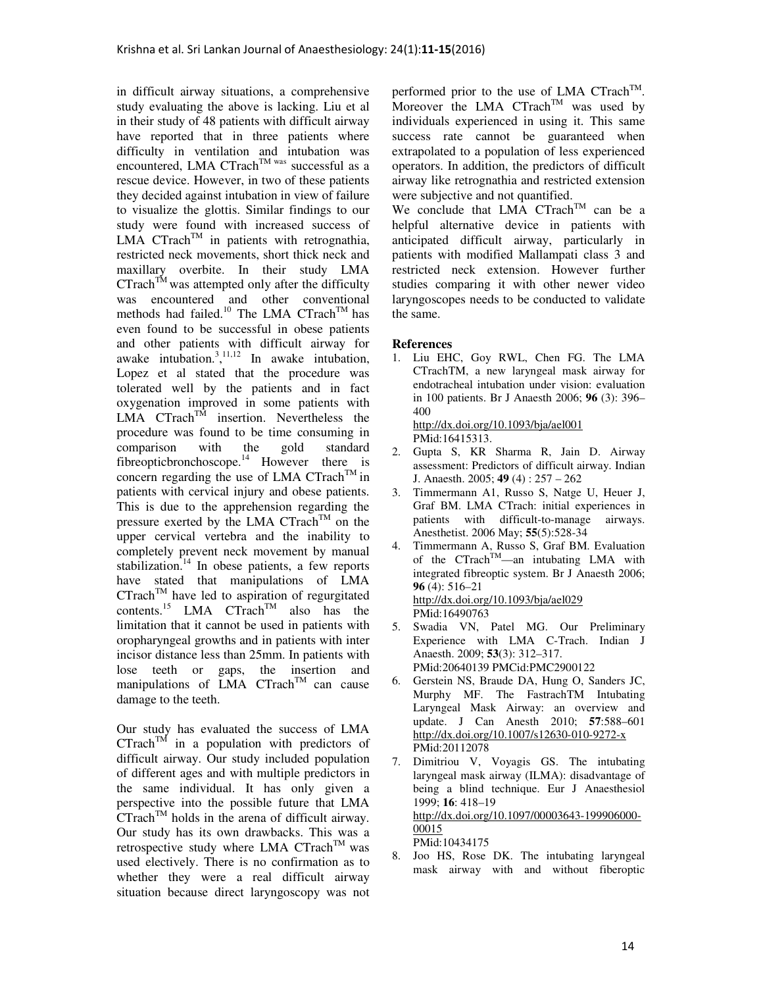in difficult airway situations, a comprehensive study evaluating the above is lacking. Liu et al in their study of 48 patients with difficult airway have reported that in three patients where difficulty in ventilation and intubation was encountered, LMA CTrach<sup>TM was</sup> successful as a rescue device. However, in two of these patients they decided against intubation in view of failure to visualize the glottis. Similar findings to our study were found with increased success of LMA CTrach<sup>TM</sup> in patients with retrognathia, restricted neck movements, short thick neck and maxillary overbite. In their study LMA  $CTrach^{TM}$  was attempted only after the difficulty was encountered and other conventional methods had failed.<sup>10</sup> The LMA CTrach<sup>TM</sup> has even found to be successful in obese patients and other patients with difficult airway for awake intubation.<sup>3</sup>,<sup>11,12</sup> In awake intubation, Lopez et al stated that the procedure was tolerated well by the patients and in fact oxygenation improved in some patients with LMA  $CTrach^{TM}$  insertion. Nevertheless the procedure was found to be time consuming in<br>comparison with the gold standard comparison with the gold standard fibreopticbronchoscope.<sup>14</sup> However there is concern regarding the use of LMA CTrach<sup>TM</sup> in patients with cervical injury and obese patients. This is due to the apprehension regarding the pressure exerted by the LMA  $CTrach^{TM}$  on the upper cervical vertebra and the inability to completely prevent neck movement by manual stabilization.<sup>14</sup> In obese patients, a few reports have stated that manipulations of LMA  $CTrach^{TM}$  have led to aspiration of regurgitated contents.<sup>15</sup> LMA CTrach<sup>TM</sup> also has the limitation that it cannot be used in patients with oropharyngeal growths and in patients with inter incisor distance less than 25mm. In patients with lose teeth or gaps, the insertion and manipulations of LMA CTrach<sup>TM</sup> can cause damage to the teeth.

Our study has evaluated the success of LMA  $CTrach^{TM}$  in a population with predictors of difficult airway. Our study included population of different ages and with multiple predictors in the same individual. It has only given a perspective into the possible future that LMA  $CTrach^{TM}$  holds in the arena of difficult airway. Our study has its own drawbacks. This was a retrospective study where LMA  $CTrach^{TM}$  was used electively. There is no confirmation as to whether they were a real difficult airway situation because direct laryngoscopy was not

performed prior to the use of LMA CTrach<sup>TM</sup>. Moreover the LMA  $CTrach^{TM}$  was used by individuals experienced in using it. This same success rate cannot be guaranteed when extrapolated to a population of less experienced operators. In addition, the predictors of difficult airway like retrognathia and restricted extension were subjective and not quantified.

We conclude that LMA  $CTrach^{TM}$  can be a helpful alternative device in patients with anticipated difficult airway, particularly in patients with modified Mallampati class 3 and restricted neck extension. However further studies comparing it with other newer video laryngoscopes needs to be conducted to validate the same.

### **References**

1. Liu EHC, Goy RWL, Chen FG. The LMA CTrachTM, a new laryngeal mask airway for endotracheal intubation under vision: evaluation in 100 patients. Br J Anaesth 2006; **96** (3): 396– 400 http://dx.doi.org/10.1093/bja/ael001

PMid:16415313.

- 2. Gupta S, KR Sharma R, Jain D. Airway assessment: Predictors of difficult airway. Indian J. Anaesth. 2005; **49** (4) : 257 – 262
- 3. Timmermann A1, Russo S, Natge U, Heuer J, Graf BM. LMA CTrach: initial experiences in patients with difficult-to-manage airways. Anesthetist. 2006 May; **55**(5):528-34
- 4. Timmermann A, Russo S, Graf BM. Evaluation of the  $CTrach^{TM}$ —an intubating LMA with integrated fibreoptic system. Br J Anaesth 2006; **96** (4): 516–21 http://dx.doi.org/10.1093/bja/ael029 PMid:16490763
- 5. Swadia VN, Patel MG. Our Preliminary Experience with LMA C-Trach. Indian J Anaesth. 2009; **53**(3): 312–317. PMid:20640139 PMCid:PMC2900122
- 6. Gerstein NS, Braude DA, Hung O, Sanders JC, Murphy MF. The FastrachTM Intubating Laryngeal Mask Airway: an overview and update. J Can Anesth 2010; **57**:588–601 http://dx.doi.org/10.1007/s12630-010-9272-x PMid:20112078
- 7. Dimitriou V, Voyagis GS. The intubating laryngeal mask airway (ILMA): disadvantage of being a blind technique. Eur J Anaesthesiol 1999; **16**: 418–19 http://dx.doi.org/10.1097/00003643-199906000- 00015 PMid:10434175
- 8. Joo HS, Rose DK. The intubating laryngeal mask airway with and without fiberoptic